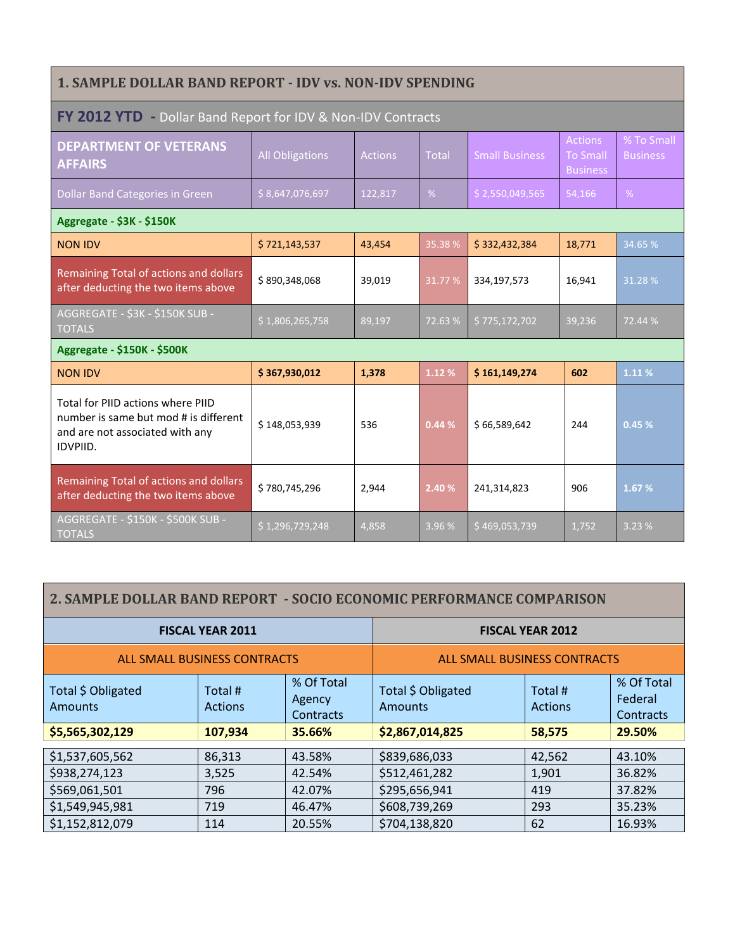| <b>1. SAMPLE DOLLAR BAND REPORT - IDV vs. NON-IDV SPENDING</b>                                                                   |                        |                |        |                       |                                                      |                               |  |  |
|----------------------------------------------------------------------------------------------------------------------------------|------------------------|----------------|--------|-----------------------|------------------------------------------------------|-------------------------------|--|--|
| FY 2012 YTD - Dollar Band Report for IDV & Non-IDV Contracts                                                                     |                        |                |        |                       |                                                      |                               |  |  |
| <b>DEPARTMENT OF VETERANS</b><br><b>AFFAIRS</b>                                                                                  | <b>All Obligations</b> | <b>Actions</b> | Total  | <b>Small Business</b> | <b>Actions</b><br><b>To Small</b><br><b>Business</b> | % To Small<br><b>Business</b> |  |  |
| Dollar Band Categories in Green                                                                                                  | \$8,647,076,697        | 122,817        | %      | \$2,550,049,565       | 54,166                                               | %                             |  |  |
| Aggregate - \$3K - \$150K                                                                                                        |                        |                |        |                       |                                                      |                               |  |  |
| <b>NON IDV</b>                                                                                                                   | \$721,143,537          | 43,454         | 35.38% | \$332,432,384         | 18,771                                               | 34.65 %                       |  |  |
| Remaining Total of actions and dollars<br>after deducting the two items above                                                    | \$890,348,068          | 39,019         | 31.77% | 334,197,573           | 16,941                                               | 31.28%                        |  |  |
| AGGREGATE - \$3K - \$150K SUB -<br><b>TOTALS</b>                                                                                 | \$1,806,265,758        | 89,197         | 72.63% | \$775,172,702         | 39,236                                               | 72.44 %                       |  |  |
| Aggregate - \$150K - \$500K                                                                                                      |                        |                |        |                       |                                                      |                               |  |  |
| <b>NON IDV</b>                                                                                                                   | \$367,930,012          | 1,378          | 1.12 % | \$161,149,274         | 602                                                  | 1.11%                         |  |  |
| Total for PIID actions where PIID<br>number is same but mod # is different<br>and are not associated with any<br><b>IDVPIID.</b> | \$148,053,939          | 536            | 0.44%  | \$66,589,642          | 244                                                  | 0.45%                         |  |  |
| Remaining Total of actions and dollars<br>after deducting the two items above                                                    | \$780,745,296          | 2,944          | 2.40 % | 241,314,823           | 906                                                  | 1.67 %                        |  |  |
| AGGREGATE - \$150K - \$500K SUB -<br><b>TOTALS</b>                                                                               | \$1,296,729,248        | 4,858          | 3.96 % | \$469,053,739         | 1,752                                                | 3.23 %                        |  |  |

## **2. SAMPLE DOLLAR BAND REPORT - SOCIO ECONOMIC PERFORMANCE COMPARISON**

| <b>FISCAL YEAR 2011</b>             |                           | <b>FISCAL YEAR 2012</b>             |                                      |                           |                                    |  |
|-------------------------------------|---------------------------|-------------------------------------|--------------------------------------|---------------------------|------------------------------------|--|
| <b>ALL SMALL BUSINESS CONTRACTS</b> |                           | <b>ALL SMALL BUSINESS CONTRACTS</b> |                                      |                           |                                    |  |
| Total \$ Obligated<br>Amounts       | Total #<br><b>Actions</b> | % Of Total<br>Agency<br>Contracts   | Total \$ Obligated<br><b>Amounts</b> | Total #<br><b>Actions</b> | % Of Total<br>Federal<br>Contracts |  |
| \$5,565,302,129                     | 107,934                   | 35.66%                              | \$2,867,014,825                      | 58,575                    | 29.50%                             |  |
| \$1,537,605,562                     | 86,313                    | 43.58%                              | \$839,686,033                        | 42,562                    | 43.10%                             |  |
| \$938,274,123                       | 3,525                     | 42.54%                              | \$512,461,282                        | 1,901                     | 36.82%                             |  |
| \$569,061,501                       | 796                       | 42.07%                              | \$295,656,941                        | 419                       | 37.82%                             |  |
| \$1,549,945,981                     | 719                       | 46.47%                              | \$608,739,269                        | 293                       | 35.23%                             |  |
| \$1,152,812,079                     | 114                       | 20.55%                              | \$704,138,820                        | 62                        | 16.93%                             |  |